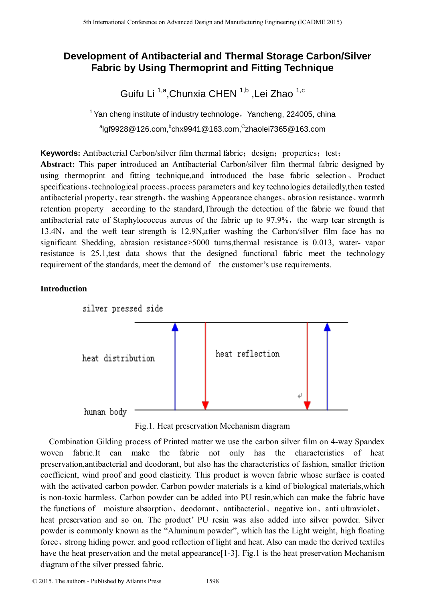# **Development of Antibacterial and Thermal Storage Carbon/Silver Fabric by Using Thermoprint and Fitting Technique**

Guifu Li <sup>1,a</sup>,Chunxia CHEN <sup>1,b</sup> ,Lei Zhao <sup>1,c</sup>

 $1$  Yan cheng institute of industry technologe, Yancheng, 224005, china <sup>a</sup>lgf9928@126.com,<sup>b</sup>chx9941@163.com,<sup>C</sup>zhaolei7365@163.com

**Keywords:** Antibacterial Carbon/silver film thermal fabric; design; properties; test;

**Abstract:** This paper introduced an Antibacterial Carbon/silver film thermal fabric designed by using thermoprint and fitting technique,and introduced the base fabric selection、 Product specifications、technological process、process parameters and key technologies detailedly,then tested antibacterial property、tear strength、the washing Appearance changes、abrasion resistance、warmth retention property according to the standard,Through the detection of the fabric we found that antibacterial rate of Staphylococcus aureus of the fabric up to 97.9%, the warp tear strength is 13.4N, and the weft tear strength is 12.9N,after washing the Carbon/silver film face has no significant Shedding, abrasion resistance>5000 turns, thermal resistance is 0.013, water- vapor resistance is 25.1,test data shows that the designed functional fabric meet the technology requirement of the standards, meet the demand of the customer's use requirements.

# **Introduction**



Fig.1. Heat preservation Mechanism diagram

 Combination Gilding process of Printed matter we use the carbon silver film on 4-way Spandex woven fabric.It can make the fabric not only has the characteristics of heat preservation,antibacterial and deodorant, but also has the characteristics of fashion, smaller friction coefficient, wind proof and good elasticity. This product is woven fabric whose surface is coated with the activated carbon powder. Carbon powder materials is a kind of biological materials, which is non-toxic harmless. Carbon powder can be added into PU resin,which can make the fabric have the functions of moisture absorption、deodorant、antibacterial、negative ion、anti ultraviolet、 heat preservation and so on. The product' PU resin was also added into silver powder. Silver powder is commonly known as the "Aluminum powder", which has the Light weight, high floating force、strong hiding power. and good reflection of light and heat. Also can made the derived textiles have the heat preservation and the metal appearance<sup>[1-3]</sup>. Fig.1 is the heat preservation Mechanism diagram of the silver pressed fabric. Statement Conference on Advanced Design and Manufacturing Engineering (CADME 2016)<br> **Dovelopment of Antibacterial and Thermal Storage Carbon/**<br>
Fairful Li<sup>11a</sup>, Chunxid CHEN<sup>15</sup> Lei Zhao<sup>1</sup> conference on Advanced Design a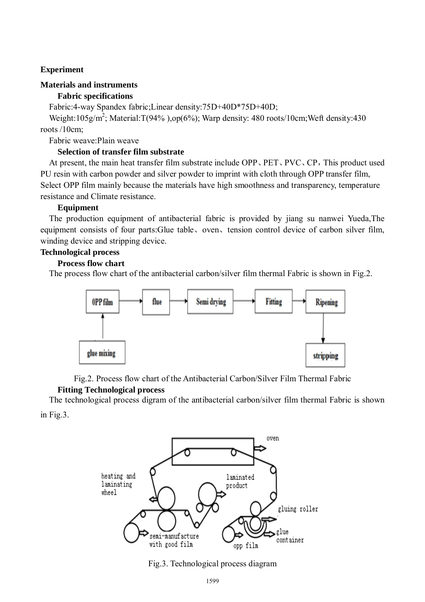# **Experiment**

### **Materials and instruments**

# **Fabric specifications**

Fabric:4-way Spandex fabric;Linear density:75D+40D\*75D+40D;

Weight:105g/m<sup>2</sup>; Material:T(94%),op(6%); Warp density: 480 roots/10cm; Weft density: 430 roots /10cm;

Fabric weave:Plain weave

# **Selection of transfer film substrate**

 At present, the main heat transfer film substrate include OPP、PET、PVC、CP,This product used PU resin with carbon powder and silver powder to imprint with cloth through OPP transfer film, Select OPP film mainly because the materials have high smoothness and transparency, temperature resistance and Climate resistance.

### **Equipment**

 The production equipment of antibacterial fabric is provided by jiang su nanwei Yueda,The equipment consists of four parts:Glue table、oven、tension control device of carbon silver film, winding device and stripping device.

### **Technological process**

### **Process flow chart**

The process flow chart of the antibacterial carbon/silver film thermal Fabric is shown in Fig.2.



Fig.2. Process flow chart of the Antibacterial Carbon/Silver Film Thermal Fabric

# **Fitting Technological process**

 The technological process digram of the antibacterial carbon/silver film thermal Fabric is shown in Fig.3.



Fig.3. Technological process diagram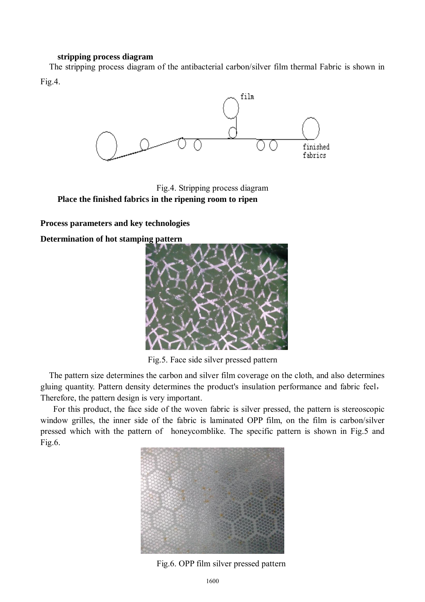### **stripping process diagram**

The stripping process diagram of the antibacterial carbon/silver film thermal Fabric is shown in Fig.4.



Fig.4. Stripping process diagram **Place the finished fabrics in the ripening room to ripen** 

**Process parameters and key technologies** 

**Determination of hot stamping pattern** 



Fig.5. Face side silver pressed pattern

 The pattern size determines the carbon and silver film coverage on the cloth, and also determines gluing quantity. Pattern density determines the product's insulation performance and fabric feel, Therefore, the pattern design is very important.

 For this product, the face side of the woven fabric is silver pressed, the pattern is stereoscopic window grilles, the inner side of the fabric is laminated OPP film, on the film is carbon/silver pressed which with the pattern of honeycomblike. The specific pattern is shown in Fig.5 and Fig.6.



Fig.6. OPP film silver pressed pattern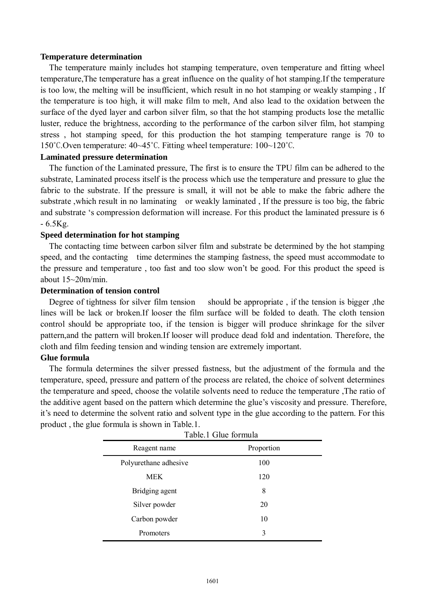#### **Temperature determination**

 The temperature mainly includes hot stamping temperature, oven temperature and fitting wheel temperature,The temperature has a great influence on the quality of hot stamping.If the temperature is too low, the melting will be insufficient, which result in no hot stamping or weakly stamping , If the temperature is too high, it will make film to melt, And also lead to the oxidation between the surface of the dyed layer and carbon silver film, so that the hot stamping products lose the metallic luster, reduce the brightness, according to the performance of the carbon silver film, hot stamping stress , hot stamping speed, for this production the hot stamping temperature range is 70 to 150˚C.Oven temperature: 40~45˚C. Fitting wheel temperature: 100~120˚C.

### **Laminated pressure determination**

 The function of the Laminated pressure, The first is to ensure the TPU film can be adhered to the substrate, Laminated process itself is the process which use the temperature and pressure to glue the fabric to the substrate. If the pressure is small, it will not be able to make the fabric adhere the substrate ,which result in no laminating or weakly laminated , If the pressure is too big, the fabric and substrate 's compression deformation will increase. For this product the laminated pressure is 6 - 6.5Kg.

### **Speed determination for hot stamping**

 The contacting time between carbon silver film and substrate be determined by the hot stamping speed, and the contacting time determines the stamping fastness, the speed must accommodate to the pressure and temperature , too fast and too slow won't be good. For this product the speed is about 15~20m/min.

### **Determination of tension control**

Degree of tightness for silver film tension should be appropriate, if the tension is bigger, the lines will be lack or broken.If looser the film surface will be folded to death. The cloth tension control should be appropriate too, if the tension is bigger will produce shrinkage for the silver pattern,and the pattern will broken.If looser will produce dead fold and indentation. Therefore, the cloth and film feeding tension and winding tension are extremely important.

### **Glue formula**

 The formula determines the silver pressed fastness, but the adjustment of the formula and the temperature, speed, pressure and pattern of the process are related, the choice of solvent determines the temperature and speed, choose the volatile solvents need to reduce the temperature ,The ratio of the additive agent based on the pattern which determine the glue's viscosity and pressure. Therefore, it's need to determine the solvent ratio and solvent type in the glue according to the pattern. For this product , the glue formula is shown in Table.1.

| Taon. I Shac Tormana  |            |  |  |  |
|-----------------------|------------|--|--|--|
| Reagent name          | Proportion |  |  |  |
| Polyurethane adhesive | 100        |  |  |  |
| <b>MEK</b>            | 120        |  |  |  |
| Bridging agent        | 8          |  |  |  |
| Silver powder         | 20         |  |  |  |
| Carbon powder         | 10         |  |  |  |
| Promoters             | 3          |  |  |  |

| Table.1 Glue formula |  |
|----------------------|--|
|----------------------|--|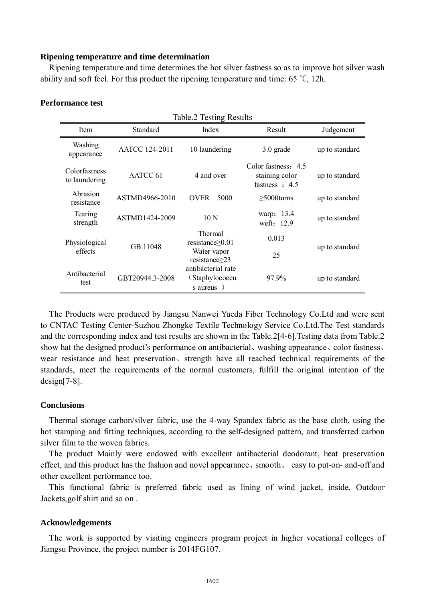### **Ripening temperature and time determination**

 Ripening temperature and time determines the hot silver fastness so as to improve hot silver wash ability and soft feel. For this product the ripening temperature and time: 65 ˚C, 12h.

| Table.2 Testing Results        |                       |                                                                |                                                             |                |  |  |
|--------------------------------|-----------------------|----------------------------------------------------------------|-------------------------------------------------------------|----------------|--|--|
| Item                           | Standard              | Index                                                          | Result                                                      | Judgement      |  |  |
| Washing<br>appearance          | <b>AATCC 124-2011</b> | 10 laundering                                                  | $3.0$ grade                                                 | up to standard |  |  |
| Colorfastness<br>to laundering | AATCC 61              | 4 and over                                                     | Color fastness: 4.5<br>staining color<br>fastness $\pm 4.5$ | up to standard |  |  |
| Abrasion<br>resistance         | ASTMD4966-2010        | <b>OVER</b><br>5000                                            | $>5000$ turns                                               | up to standard |  |  |
| Tearing<br>strength            | ASTMD1424-2009        | 10 <sub>N</sub>                                                | warp: 13.4<br>weft: 12.9                                    | up to standard |  |  |
| Physiological<br>effects       | GB 11048              | <b>Thermal</b><br>resistance $\geq 0.01$<br>Water vapor        | 0.013                                                       | up to standard |  |  |
|                                |                       | $resistance \geq 23$                                           | 25                                                          |                |  |  |
| Antibacterial<br>test          | GBT20944.3-2008       | antibacterial rate<br>(Staphylococcu<br>s aureus $\rightarrow$ | 97.9%                                                       | up to standard |  |  |

### **Performance test**

 The Products were produced by Jiangsu Nanwei Yueda Fiber Technology Co.Ltd and were sent to CNTAC Testing Center-Suzhou Zhongke Textile Technology Service Co.Ltd.The Test standards and the corresponding index and test results are shown in the Table.2[4-6].Testing data from Table.2 show hat the designed product's performance on antibacterial、washing appearance、color fastness、 wear resistance and heat preservation、strength have all reached technical requirements of the standards, meet the requirements of the normal customers, fulfill the original intention of the design[7-8].

#### **Conclusions**

Thermal storage carbon/silver fabric, use the 4-way Spandex fabric as the base cloth, using the hot stamping and fitting techniques, according to the self-designed pattern, and transferred carbon silver film to the woven fabrics.

The product Mainly were endowed with excellent antibacterial deodorant, heat preservation effect, and this product has the fashion and novel appearance、smooth、 easy to put-on- and-off and other excellent performance too.

This functional fabric is preferred fabric used as lining of wind jacket, inside, Outdoor Jackets,golf shirt and so on .

#### **Acknowledgements**

The work is supported by visiting engineers program project in higher vocational colleges of Jiangsu Province, the project number is 2014FG107.